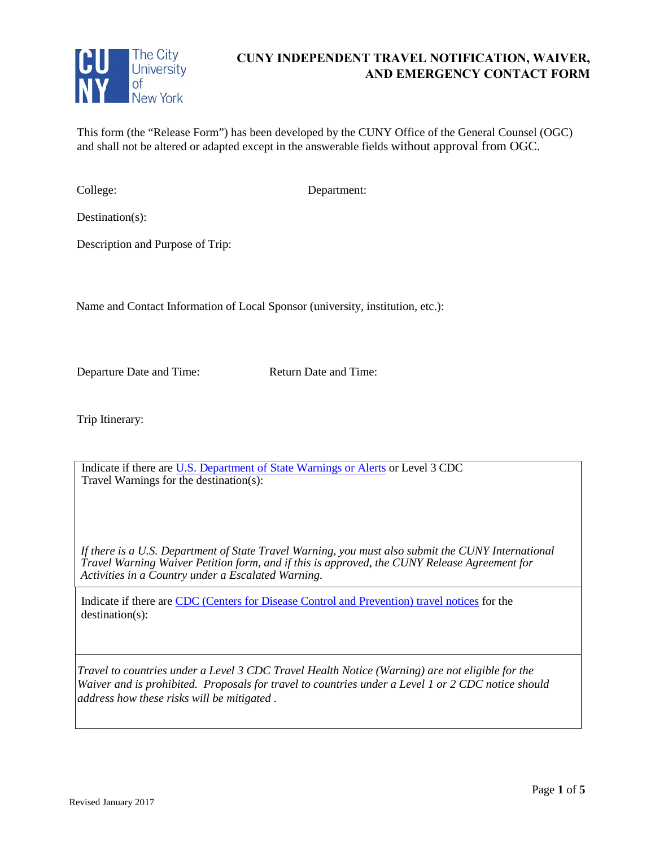

# **CUNY INDEPENDENT TRAVEL NOTIFICATION, WAIVER, AND EMERGENCY CONTACT FORM**

This form (the "Release Form") has been developed by the CUNY Office of the General Counsel (OGC) and shall not be altered or adapted except in the answerable fields without approval from OGC.

College: Department:

Destination(s):

Description and Purpose of Trip:

Name and Contact Information of Local Sponsor (university, institution, etc.):

Departure Date and Time: Return Date and Time:

Trip Itinerary:

Indicate if there ar[e U.S. Department of State Warnings or Alerts](https://travel.state.gov/content/passports/en/alertswarnings.html) or Level 3 CDC Travel Warnings for the destination(s):

*If there is a U.S. Department of State Travel Warning, you must also submit the CUNY International Travel Warning Waiver Petition form, and if this is approved, the CUNY Release Agreement for Activities in a Country under a Escalated Warning.* 

Indicate if there are CDC (Centers for Disease Control and Prevention) travel notices for the destination(s):

*Travel to countries under a Level 3 CDC Travel Health Notice (Warning) are not eligible for the Waiver and is prohibited. Proposals for travel to countries under a Level 1 or 2 CDC notice should address how these risks will be mitigated .*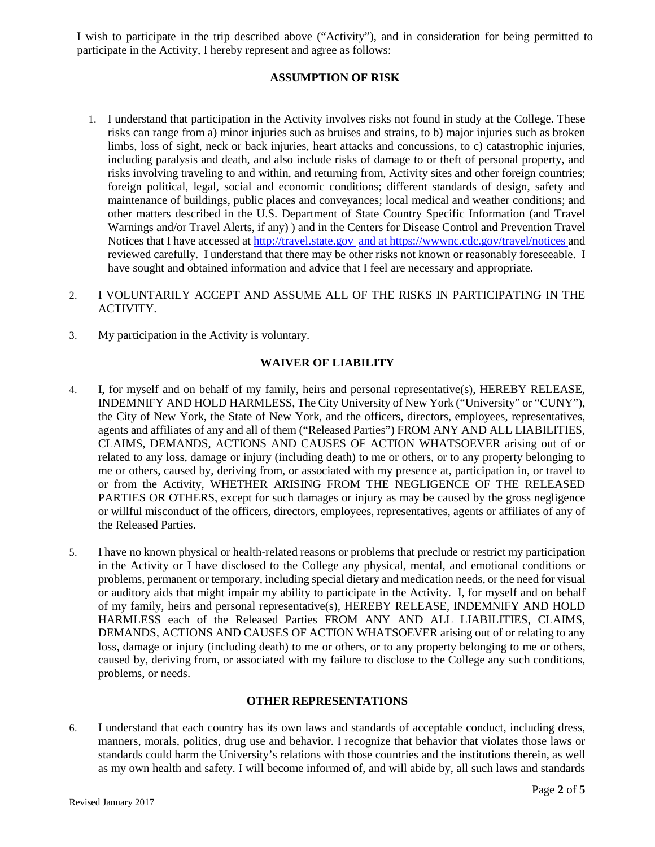I wish to participate in the trip described above ("Activity"), and in consideration for being permitted to participate in the Activity, I hereby represent and agree as follows:

### **ASSUMPTION OF RISK**

- 1. I understand that participation in the Activity involves risks not found in study at the College. These risks can range from a) minor injuries such as bruises and strains, to b) major injuries such as broken limbs, loss of sight, neck or back injuries, heart attacks and concussions, to c) catastrophic injuries, including paralysis and death, and also include risks of damage to or theft of personal property, and risks involving traveling to and within, and returning from, Activity sites and other foreign countries; foreign political, legal, social and economic conditions; different standards of design, safety and maintenance of buildings, public places and conveyances; local medical and weather conditions; and other matters described in the U.S. Department of State Country Specific Information (and Travel Warnings and/or Travel Alerts, if any) ) and in the Centers for Disease Control and Prevention Travel Notices that I have accessed at [http://travel.state.gov](http://travel.state.gov/) and at https://wwwnc.cdc.gov/travel/notices and reviewed carefully. I understand that there may be other risks not known or reasonably foreseeable. I have sought and obtained information and advice that I feel are necessary and appropriate.
- 2. I VOLUNTARILY ACCEPT AND ASSUME ALL OF THE RISKS IN PARTICIPATING IN THE ACTIVITY.
- 3. My participation in the Activity is voluntary.

### **WAIVER OF LIABILITY**

- 4. I, for myself and on behalf of my family, heirs and personal representative(s), HEREBY RELEASE, INDEMNIFY AND HOLD HARMLESS, The City University of New York ("University" or "CUNY"), the City of New York, the State of New York, and the officers, directors, employees, representatives, agents and affiliates of any and all of them ("Released Parties") FROM ANY AND ALL LIABILITIES, CLAIMS, DEMANDS, ACTIONS AND CAUSES OF ACTION WHATSOEVER arising out of or related to any loss, damage or injury (including death) to me or others, or to any property belonging to me or others, caused by, deriving from, or associated with my presence at, participation in, or travel to or from the Activity, WHETHER ARISING FROM THE NEGLIGENCE OF THE RELEASED PARTIES OR OTHERS, except for such damages or injury as may be caused by the gross negligence or willful misconduct of the officers, directors, employees, representatives, agents or affiliates of any of the Released Parties.
- 5. I have no known physical or health-related reasons or problems that preclude or restrict my participation in the Activity or I have disclosed to the College any physical, mental, and emotional conditions or problems, permanent or temporary, including special dietary and medication needs, or the need for visual or auditory aids that might impair my ability to participate in the Activity. I, for myself and on behalf of my family, heirs and personal representative(s), HEREBY RELEASE, INDEMNIFY AND HOLD HARMLESS each of the Released Parties FROM ANY AND ALL LIABILITIES, CLAIMS, DEMANDS, ACTIONS AND CAUSES OF ACTION WHATSOEVER arising out of or relating to any loss, damage or injury (including death) to me or others, or to any property belonging to me or others, caused by, deriving from, or associated with my failure to disclose to the College any such conditions, problems, or needs.

### **OTHER REPRESENTATIONS**

6. I understand that each country has its own laws and standards of acceptable conduct, including dress, manners, morals, politics, drug use and behavior. I recognize that behavior that violates those laws or standards could harm the University's relations with those countries and the institutions therein, as well as my own health and safety. I will become informed of, and will abide by, all such laws and standards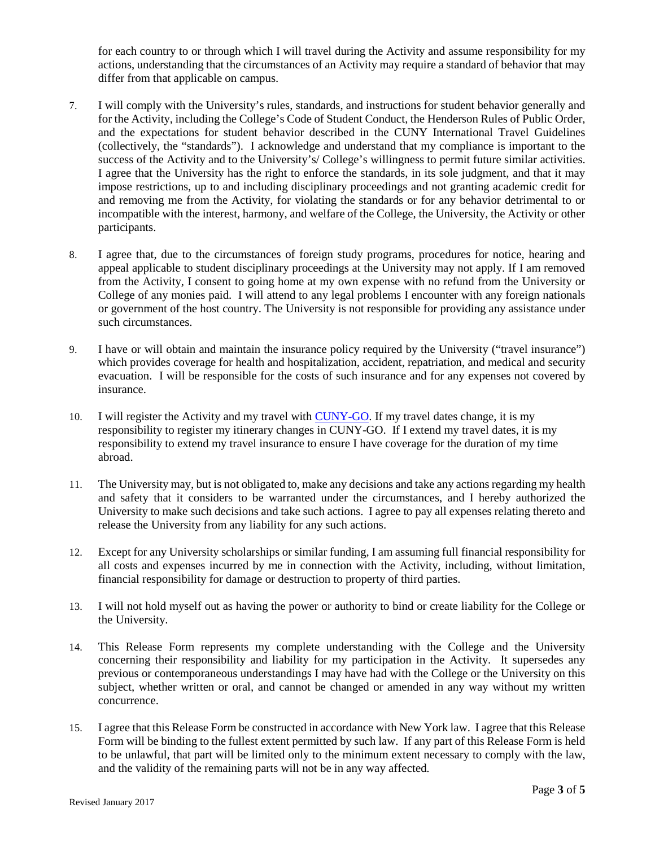for each country to or through which I will travel during the Activity and assume responsibility for my actions, understanding that the circumstances of an Activity may require a standard of behavior that may differ from that applicable on campus.

- 7. I will comply with the University's rules, standards, and instructions for student behavior generally and for the Activity, including the College's Code of Student Conduct, the Henderson Rules of Public Order, and the expectations for student behavior described in the CUNY International Travel Guidelines (collectively, the "standards"). I acknowledge and understand that my compliance is important to the success of the Activity and to the University's/ College's willingness to permit future similar activities. I agree that the University has the right to enforce the standards, in its sole judgment, and that it may impose restrictions, up to and including disciplinary proceedings and not granting academic credit for and removing me from the Activity, for violating the standards or for any behavior detrimental to or incompatible with the interest, harmony, and welfare of the College, the University, the Activity or other participants.
- 8. I agree that, due to the circumstances of foreign study programs, procedures for notice, hearing and appeal applicable to student disciplinary proceedings at the University may not apply. If I am removed from the Activity, I consent to going home at my own expense with no refund from the University or College of any monies paid. I will attend to any legal problems I encounter with any foreign nationals or government of the host country. The University is not responsible for providing any assistance under such circumstances.
- 9. I have or will obtain and maintain the insurance policy required by the University ("travel insurance") which provides coverage for health and hospitalization, accident, repatriation, and medical and security evacuation. I will be responsible for the costs of such insurance and for any expenses not covered by insurance.
- 10. I will register the Activity and my travel with [CUNY-GO.](http://www1.cuny.edu/sites/studyabroad/students/before-you-go/) If my travel dates change, it is my responsibility to register my itinerary changes in CUNY-GO. If I extend my travel dates, it is my responsibility to extend my travel insurance to ensure I have coverage for the duration of my time abroad.
- 11. The University may, but is not obligated to, make any decisions and take any actions regarding my health and safety that it considers to be warranted under the circumstances, and I hereby authorized the University to make such decisions and take such actions. I agree to pay all expenses relating thereto and release the University from any liability for any such actions.
- 12. Except for any University scholarships or similar funding, I am assuming full financial responsibility for all costs and expenses incurred by me in connection with the Activity, including, without limitation, financial responsibility for damage or destruction to property of third parties.
- 13. I will not hold myself out as having the power or authority to bind or create liability for the College or the University.
- 14. This Release Form represents my complete understanding with the College and the University concerning their responsibility and liability for my participation in the Activity. It supersedes any previous or contemporaneous understandings I may have had with the College or the University on this subject, whether written or oral, and cannot be changed or amended in any way without my written concurrence.
- 15. I agree that this Release Form be constructed in accordance with New York law. I agree that this Release Form will be binding to the fullest extent permitted by such law. If any part of this Release Form is held to be unlawful, that part will be limited only to the minimum extent necessary to comply with the law, and the validity of the remaining parts will not be in any way affected.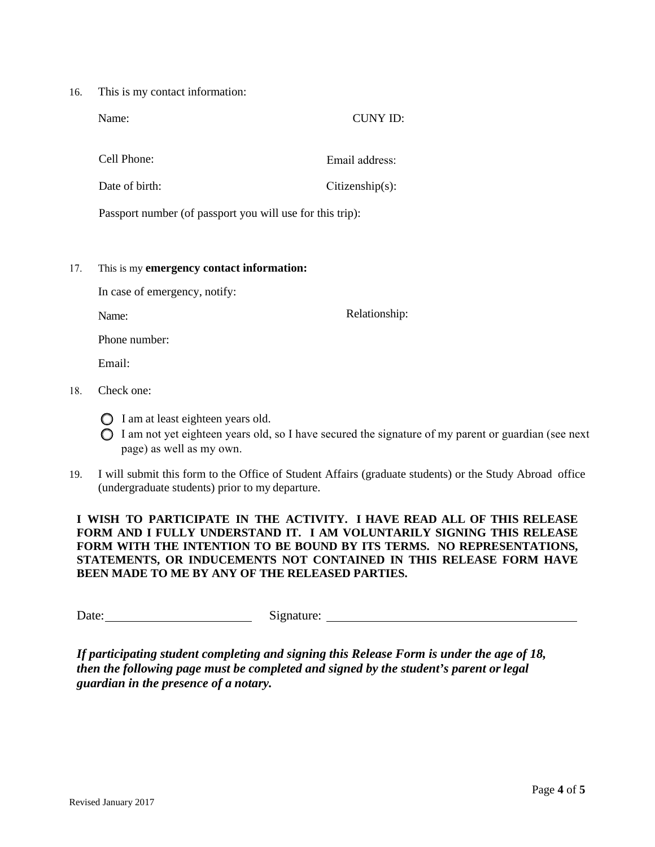16. This is my contact information:

| Name:                                                     | CUNY ID:           |
|-----------------------------------------------------------|--------------------|
|                                                           |                    |
| Cell Phone:                                               | Email address:     |
| Date of $birth:$                                          | $Citizenship(s)$ : |
| Passport number (of passport you will use for this trip): |                    |

#### 17. This is my **emergency contact information:**

In case of emergency, notify:

Name:

Relationship:

Phone number:

Email:

- 18. Check one:
	- I am at least eighteen years old.
	- $\bigcirc$  I am not yet eighteen years old, so I have secured the signature of my parent or guardian (see next page) as well as my own.
- 19. I will submit this form to the Office of Student Affairs (graduate students) or the Study Abroad office (undergraduate students) prior to my departure.

## **I WISH TO PARTICIPATE IN THE ACTIVITY. I HAVE READ ALL OF THIS RELEASE FORM AND I FULLY UNDERSTAND IT. I AM VOLUNTARILY SIGNING THIS RELEASE FORM WITH THE INTENTION TO BE BOUND BY ITS TERMS. NO REPRESENTATIONS, STATEMENTS, OR INDUCEMENTS NOT CONTAINED IN THIS RELEASE FORM HAVE BEEN MADE TO ME BY ANY OF THE RELEASED PARTIES.**

Date: Signature:

*If participating student completing and signing this Release Form is under the age of 18, then the following page must be completed and signed by the student's parent or legal guardian in the presence of a notary.*